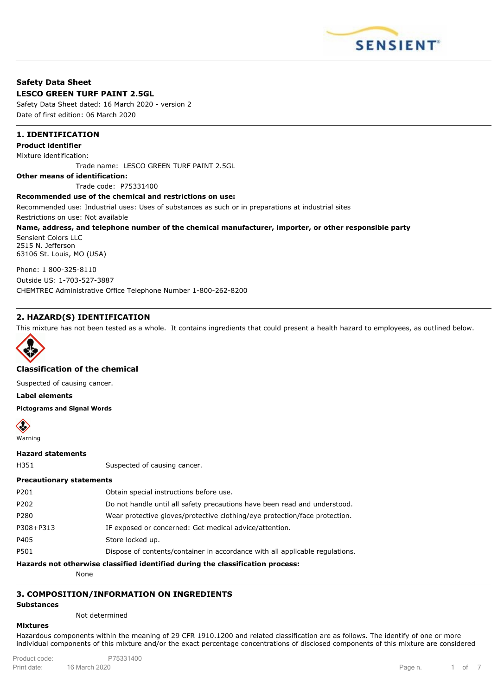

### **Safety Data Sheet LESCO GREEN TURF PAINT 2.5GL**

Safety Data Sheet dated: 16 March 2020 - version 2 Date of first edition: 06 March 2020

# **1. IDENTIFICATION**

#### **Product identifier**

Mixture identification:

Trade name: LESCO GREEN TURF PAINT 2.5GL

**Other means of identification:**

Trade code: P75331400

#### **Recommended use of the chemical and restrictions on use:**

Recommended use: Industrial uses: Uses of substances as such or in preparations at industrial sites

Restrictions on use: Not available

#### **Name, address, and telephone number of the chemical manufacturer, importer, or other responsible party**

Sensient Colors LLC 2515 N. Jefferson 63106 St. Louis, MO (USA)

Phone: 1 800-325-8110 Outside US: 1-703-527-3887 CHEMTREC Administrative Office Telephone Number 1-800-262-8200

# **2. HAZARD(S) IDENTIFICATION**

This mixture has not been tested as a whole. It contains ingredients that could present a health hazard to employees, as outlined below.



### **Classification of the chemical**

Suspected of causing cancer.

**Label elements**

**Pictograms and Signal Words**



**Hazard statements**

H351 Suspected of causing cancer.

### **Precautionary statements**

|           | ومعجمون ومنافعه المتحولة بمطه ومساويه استلافهما المتلائمة والمستحل وماريسه والمستحدث واستحصرا ا |
|-----------|-------------------------------------------------------------------------------------------------|
| P501      | Dispose of contents/container in accordance with all applicable regulations.                    |
| P405      | Store locked up.                                                                                |
| P308+P313 | IF exposed or concerned: Get medical advice/attention.                                          |
| P280      | Wear protective gloves/protective clothing/eye protection/face protection.                      |
| P202      | Do not handle until all safety precautions have been read and understood.                       |
| P201      | Obtain special instructions before use.                                                         |
|           |                                                                                                 |

**Hazards not otherwise classified identified during the classification process:**

None

# **3. COMPOSITION/INFORMATION ON INGREDIENTS**

### **Substances**

Not determined

## **Mixtures**

Hazardous components within the meaning of 29 CFR 1910.1200 and related classification are as follows. The identify of one or more individual components of this mixture and/or the exact percentage concentrations of disclosed components of this mixture are considered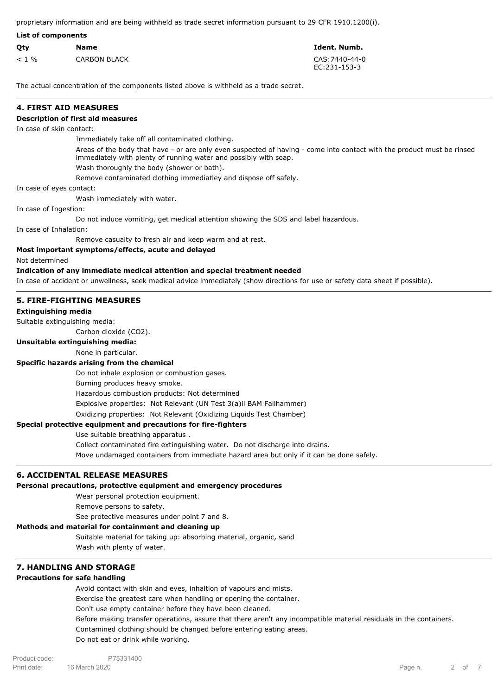proprietary information and are being withheld as trade secret information pursuant to 29 CFR 1910.1200(i).

|         | List of components  |                                |  |
|---------|---------------------|--------------------------------|--|
| Qty     | <b>Name</b>         | Ident. Numb.                   |  |
| $< 1\%$ | <b>CARBON BLACK</b> | CAS: 7440-44-0<br>EC:231-153-3 |  |

The actual concentration of the components listed above is withheld as a trade secret.

### **4. FIRST AID MEASURES**

### **Description of first aid measures**

In case of skin contact:

Immediately take off all contaminated clothing.

Areas of the body that have - or are only even suspected of having - come into contact with the product must be rinsed immediately with plenty of running water and possibly with soap.

Wash thoroughly the body (shower or bath).

Remove contaminated clothing immediatley and dispose off safely.

In case of eyes contact:

Wash immediately with water.

In case of Ingestion:

Do not induce vomiting, get medical attention showing the SDS and label hazardous.

In case of Inhalation:

Remove casualty to fresh air and keep warm and at rest.

### **Most important symptoms/effects, acute and delayed**

Not determined

#### **Indication of any immediate medical attention and special treatment needed**

In case of accident or unwellness, seek medical advice immediately (show directions for use or safety data sheet if possible).

### **5. FIRE-FIGHTING MEASURES**

### **Extinguishing media**

Suitable extinguishing media:

Carbon dioxide (CO2).

### **Unsuitable extinguishing media:**

None in particular.

### **Specific hazards arising from the chemical**

Do not inhale explosion or combustion gases.

Burning produces heavy smoke.

Hazardous combustion products: Not determined

Explosive properties: Not Relevant (UN Test 3(a)ii BAM Fallhammer)

Oxidizing properties: Not Relevant (Oxidizing Liquids Test Chamber)

### **Special protective equipment and precautions for fire-fighters**

Use suitable breathing apparatus .

Collect contaminated fire extinguishing water. Do not discharge into drains.

Move undamaged containers from immediate hazard area but only if it can be done safely.

### **6. ACCIDENTAL RELEASE MEASURES**

### **Personal precautions, protective equipment and emergency procedures**

Wear personal protection equipment.

Remove persons to safety.

See protective measures under point 7 and 8.

### **Methods and material for containment and cleaning up**

Suitable material for taking up: absorbing material, organic, sand Wash with plenty of water.

# **7. HANDLING AND STORAGE**

# **Precautions for safe handling**

Avoid contact with skin and eyes, inhaltion of vapours and mists. Exercise the greatest care when handling or opening the container. Don't use empty container before they have been cleaned. Before making transfer operations, assure that there aren't any incompatible material residuals in the containers. Contamined clothing should be changed before entering eating areas. Do not eat or drink while working.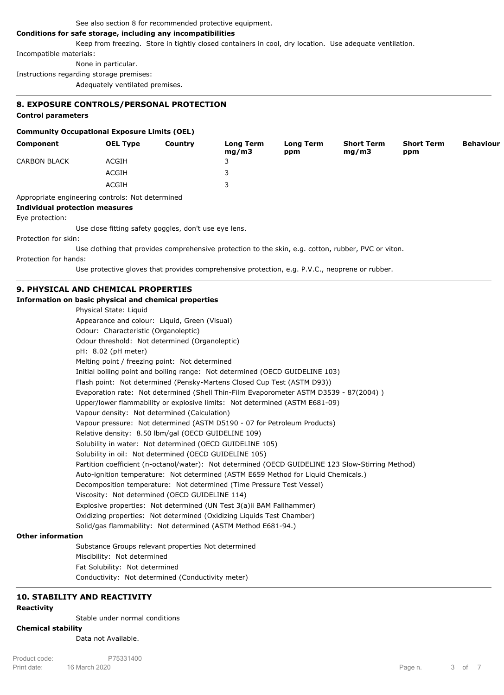#### See also section 8 for recommended protective equipment.

# **Conditions for safe storage, including any incompatibilities**

Keep from freezing. Store in tightly closed containers in cool, dry location. Use adequate ventilation.

Incompatible materials:

None in particular.

Instructions regarding storage premises:

Adequately ventilated premises.

### **8. EXPOSURE CONTROLS/PERSONAL PROTECTION**

### **Control parameters**

#### **Community Occupational Exposure Limits (OEL)**

| Component                                        | <b>OEL Type</b> | Country | Long Term<br>mq/m3 | <b>Long Term</b><br>ppm | <b>Short Term</b><br>mq/m3 | <b>Short Term</b><br>ppm | <b>Behaviour</b> |
|--------------------------------------------------|-----------------|---------|--------------------|-------------------------|----------------------------|--------------------------|------------------|
| <b>CARBON BLACK</b>                              | ACGIH           |         | د                  |                         |                            |                          |                  |
|                                                  | ACGIH           |         |                    |                         |                            |                          |                  |
|                                                  | ACGIH           |         |                    |                         |                            |                          |                  |
| Appropriate engineering controls: Not determined |                 |         |                    |                         |                            |                          |                  |

**Individual protection measures**

#### Eye protection:

Use close fitting safety goggles, don't use eye lens.

### Protection for skin:

Use clothing that provides comprehensive protection to the skin, e.g. cotton, rubber, PVC or viton.

#### Protection for hands:

Use protective gloves that provides comprehensive protection, e.g. P.V.C., neoprene or rubber.

### **9. PHYSICAL AND CHEMICAL PROPERTIES**

# **Information on basic physical and chemical properties**

| i basic priysical and chemical properties                                                         |
|---------------------------------------------------------------------------------------------------|
| Physical State: Liguid                                                                            |
| Appearance and colour: Liquid, Green (Visual)                                                     |
| Odour: Characteristic (Organoleptic)                                                              |
| Odour threshold: Not determined (Organoleptic)                                                    |
| pH: 8.02 (pH meter)                                                                               |
| Melting point / freezing point: Not determined                                                    |
| Initial boiling point and boiling range: Not determined (OECD GUIDELINE 103)                      |
| Flash point: Not determined (Pensky-Martens Closed Cup Test (ASTM D93))                           |
| Evaporation rate: Not determined (Shell Thin-Film Evaporometer ASTM D3539 - 87(2004))             |
| Upper/lower flammability or explosive limits: Not determined (ASTM E681-09)                       |
| Vapour density: Not determined (Calculation)                                                      |
| Vapour pressure: Not determined (ASTM D5190 - 07 for Petroleum Products)                          |
| Relative density: 8.50 lbm/gal (OECD GUIDELINE 109)                                               |
| Solubility in water: Not determined (OECD GUIDELINE 105)                                          |
| Solubility in oil: Not determined (OECD GUIDELINE 105)                                            |
| Partition coefficient (n-octanol/water): Not determined (OECD GUIDELINE 123 Slow-Stirring Method) |
| Auto-ignition temperature: Not determined (ASTM E659 Method for Liquid Chemicals.)                |
| Decomposition temperature: Not determined (Time Pressure Test Vessel)                             |
| Viscosity: Not determined (OECD GUIDELINE 114)                                                    |
| Explosive properties: Not determined (UN Test 3(a)ii BAM Fallhammer)                              |
| Oxidizing properties: Not determined (Oxidizing Liquids Test Chamber)                             |
| Solid/gas flammability: Not determined (ASTM Method E681-94.)                                     |
| tion                                                                                              |
| Substance Groups relevant properties Not determined                                               |
|                                                                                                   |

**Other informat** 

Miscibility: Not determined Fat Solubility: Not determined Conductivity: Not determined (Conductivity meter)

# **10. STABILITY AND REACTIVITY**

#### **Reactivity**

Stable under normal conditions

# **Chemical stability**

Data not Available.

Print date: The March 2020 Controller and the Second Prince of the Page n. The Page n. Only 1 and 2020 Controller Product code: P75331400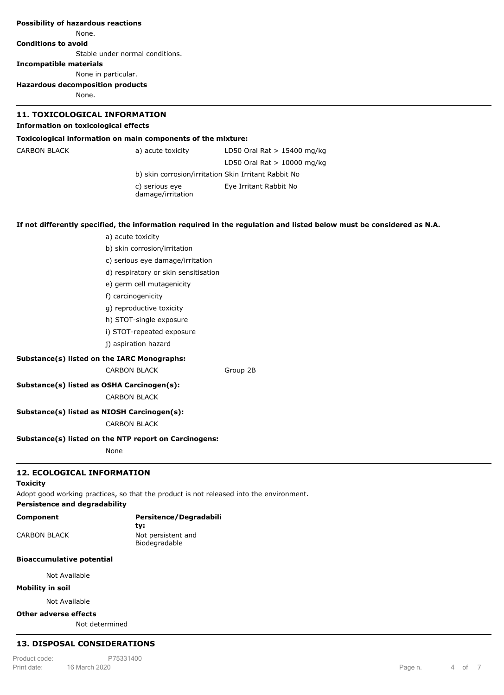| <b>Possibility of hazardous reactions</b>            |                                                                                         |                                                                                                                      |  |  |
|------------------------------------------------------|-----------------------------------------------------------------------------------------|----------------------------------------------------------------------------------------------------------------------|--|--|
| None.                                                |                                                                                         |                                                                                                                      |  |  |
| <b>Conditions to avoid</b>                           |                                                                                         |                                                                                                                      |  |  |
|                                                      | Stable under normal conditions.                                                         |                                                                                                                      |  |  |
| <b>Incompatible materials</b>                        |                                                                                         |                                                                                                                      |  |  |
|                                                      | None in particular.                                                                     |                                                                                                                      |  |  |
| <b>Hazardous decomposition products</b>              |                                                                                         |                                                                                                                      |  |  |
| None.                                                |                                                                                         |                                                                                                                      |  |  |
| <b>11. TOXICOLOGICAL INFORMATION</b>                 |                                                                                         |                                                                                                                      |  |  |
| <b>Information on toxicological effects</b>          |                                                                                         |                                                                                                                      |  |  |
|                                                      | Toxicological information on main components of the mixture:                            |                                                                                                                      |  |  |
| <b>CARBON BLACK</b>                                  | a) acute toxicity                                                                       | LD50 Oral Rat $> 15400$ mg/kg                                                                                        |  |  |
|                                                      |                                                                                         | LD50 Oral Rat $> 10000$ mg/kg                                                                                        |  |  |
|                                                      |                                                                                         | b) skin corrosion/irritation Skin Irritant Rabbit No                                                                 |  |  |
|                                                      | c) serious eye<br>damage/irritation                                                     | Eye Irritant Rabbit No                                                                                               |  |  |
|                                                      |                                                                                         |                                                                                                                      |  |  |
|                                                      |                                                                                         | If not differently specified, the information required in the regulation and listed below must be considered as N.A. |  |  |
|                                                      | a) acute toxicity                                                                       |                                                                                                                      |  |  |
|                                                      | b) skin corrosion/irritation                                                            |                                                                                                                      |  |  |
|                                                      | c) serious eye damage/irritation                                                        |                                                                                                                      |  |  |
|                                                      | d) respiratory or skin sensitisation                                                    |                                                                                                                      |  |  |
|                                                      | e) germ cell mutagenicity                                                               |                                                                                                                      |  |  |
|                                                      | f) carcinogenicity                                                                      |                                                                                                                      |  |  |
|                                                      | g) reproductive toxicity                                                                |                                                                                                                      |  |  |
|                                                      | h) STOT-single exposure                                                                 |                                                                                                                      |  |  |
|                                                      | i) STOT-repeated exposure                                                               |                                                                                                                      |  |  |
|                                                      | j) aspiration hazard                                                                    |                                                                                                                      |  |  |
|                                                      | Substance(s) listed on the IARC Monographs:                                             |                                                                                                                      |  |  |
|                                                      | <b>CARBON BLACK</b>                                                                     | Group 2B                                                                                                             |  |  |
|                                                      | Substance(s) listed as OSHA Carcinogen(s):                                              |                                                                                                                      |  |  |
|                                                      | <b>CARBON BLACK</b>                                                                     |                                                                                                                      |  |  |
|                                                      | Substance(s) listed as NIOSH Carcinogen(s):                                             |                                                                                                                      |  |  |
|                                                      | <b>CARBON BLACK</b>                                                                     |                                                                                                                      |  |  |
|                                                      | Substance(s) listed on the NTP report on Carcinogens:                                   |                                                                                                                      |  |  |
|                                                      | None                                                                                    |                                                                                                                      |  |  |
| <b>12. ECOLOGICAL INFORMATION</b><br><b>Toxicity</b> |                                                                                         |                                                                                                                      |  |  |
| <b>Persistence and degradability</b>                 | Adopt good working practices, so that the product is not released into the environment. |                                                                                                                      |  |  |
| Component                                            | Persitence/Degradabili                                                                  |                                                                                                                      |  |  |

| component    | <b>T</b> craftchce/begraudb |  |  |
|--------------|-----------------------------|--|--|
|              | tv:                         |  |  |
| CARBON BLACK | Not persistent and          |  |  |
|              | Biodegradable               |  |  |

# **Bioaccumulative potential**

Not Available

# **Mobility in soil**

Not Available

### **Other adverse effects**

Not determined

# **13. DISPOSAL CONSIDERATIONS**

**Waste treatment methods** Product code: P75331400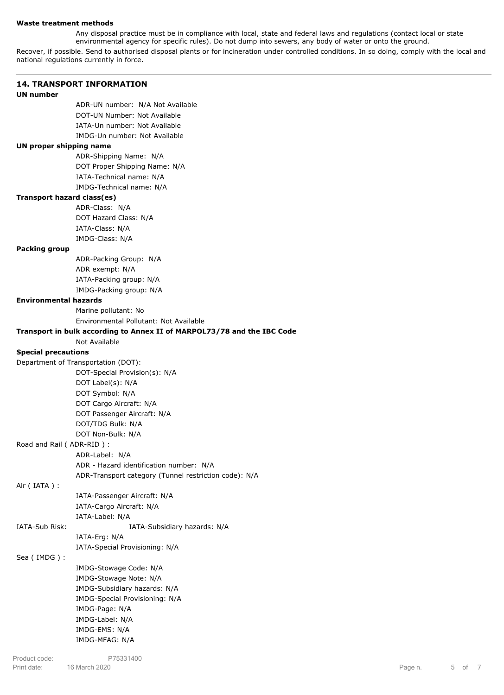### **Waste treatment methods**

Any disposal practice must be in compliance with local, state and federal laws and regulations (contact local or state environmental agency for specific rules). Do not dump into sewers, any body of water or onto the ground.

Recover, if possible. Send to authorised disposal plants or for incineration under controlled conditions. In so doing, comply with the local and national regulations currently in force.

|                                   | <b>14. TRANSPORT INFORMATION</b>                                        |
|-----------------------------------|-------------------------------------------------------------------------|
| <b>UN number</b>                  |                                                                         |
|                                   | ADR-UN number: N/A Not Available                                        |
|                                   | DOT-UN Number: Not Available                                            |
|                                   | IATA-Un number: Not Available                                           |
|                                   | IMDG-Un number: Not Available                                           |
| UN proper shipping name           |                                                                         |
|                                   | ADR-Shipping Name: N/A                                                  |
|                                   | DOT Proper Shipping Name: N/A                                           |
|                                   | IATA-Technical name: N/A                                                |
|                                   | IMDG-Technical name: N/A                                                |
| <b>Transport hazard class(es)</b> |                                                                         |
|                                   | ADR-Class: N/A                                                          |
|                                   | DOT Hazard Class: N/A                                                   |
|                                   | IATA-Class: N/A                                                         |
|                                   | IMDG-Class: N/A                                                         |
| <b>Packing group</b>              |                                                                         |
|                                   | ADR-Packing Group: N/A                                                  |
|                                   | ADR exempt: N/A                                                         |
|                                   | IATA-Packing group: N/A                                                 |
|                                   | IMDG-Packing group: N/A                                                 |
| <b>Environmental hazards</b>      |                                                                         |
|                                   | Marine pollutant: No                                                    |
|                                   | Environmental Pollutant: Not Available                                  |
|                                   | Transport in bulk according to Annex II of MARPOL73/78 and the IBC Code |
|                                   | Not Available                                                           |
| <b>Special precautions</b>        |                                                                         |
|                                   | Department of Transportation (DOT):                                     |
|                                   | DOT-Special Provision(s): N/A                                           |
|                                   | DOT Label(s): N/A                                                       |
|                                   | DOT Symbol: N/A                                                         |
|                                   | DOT Cargo Aircraft: N/A                                                 |
|                                   | DOT Passenger Aircraft: N/A                                             |
|                                   | DOT/TDG Bulk: N/A                                                       |
|                                   | DOT Non-Bulk: N/A                                                       |
|                                   |                                                                         |
| Road and Rail (ADR-RID):          |                                                                         |
|                                   | ADR-Label: N/A                                                          |
|                                   | ADR - Hazard identification number: N/A                                 |
|                                   | ADR-Transport category (Tunnel restriction code): N/A                   |
| Air (IATA) :                      |                                                                         |
|                                   | IATA-Passenger Aircraft: N/A                                            |
|                                   | IATA-Cargo Aircraft: N/A                                                |
|                                   | IATA-Label: N/A                                                         |
| IATA-Sub Risk:                    | IATA-Subsidiary hazards: N/A                                            |
|                                   | IATA-Erg: N/A                                                           |
|                                   | IATA-Special Provisioning: N/A                                          |
| Sea (IMDG):                       |                                                                         |
|                                   | IMDG-Stowage Code: N/A                                                  |
|                                   | IMDG-Stowage Note: N/A                                                  |
|                                   | IMDG-Subsidiary hazards: N/A                                            |
|                                   | IMDG-Special Provisioning: N/A                                          |
|                                   | IMDG-Page: N/A                                                          |
|                                   | IMDG-Label: N/A                                                         |
|                                   | IMDG-EMS: N/A                                                           |
|                                   | IMDG-MFAG: N/A                                                          |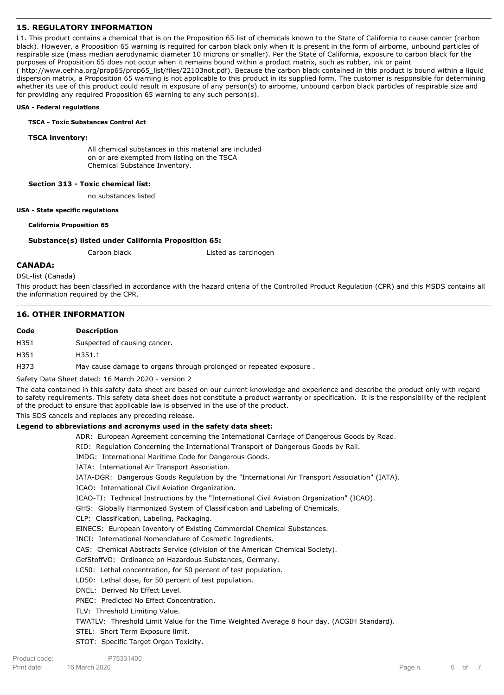# **15. REGULATORY INFORMATION**

L1. This product contains a chemical that is on the Proposition 65 list of chemicals known to the State of California to cause cancer (carbon black). However, a Proposition 65 warning is required for carbon black only when it is present in the form of airborne, unbound particles of respirable size (mass median aerodynamic diameter 10 microns or smaller). Per the State of California, exposure to carbon black for the purposes of Proposition 65 does not occur when it remains bound within a product matrix, such as rubber, ink or paint ( http://www.oehha.org/prop65/prop65\_list/files/22103not.pdf). Because the carbon black contained in this product is bound within a liquid dispersion matrix, a Proposition 65 warning is not applicable to this product in its supplied form. The customer is responsible for determining

whether its use of this product could result in exposure of any person(s) to airborne, unbound carbon black particles of respirable size and for providing any required Proposition 65 warning to any such person(s).

#### **USA - Federal regulations**

#### **TSCA - Toxic Substances Control Act**

#### **TSCA inventory:**

All chemical substances in this material are included on or are exempted from listing on the TSCA Chemical Substance Inventory.

#### **Section 313 - Toxic chemical list:**

no substances listed

#### **USA - State specific regulations**

#### **California Proposition 65**

### **Substance(s) listed under California Proposition 65:**

Carbon black Listed as carcinogen

### **CANADA:**

DSL-list (Canada)

This product has been classified in accordance with the hazard criteria of the Controlled Product Regulation (CPR) and this MSDS contains all the information required by the CPR.

### **16. OTHER INFORMATION**

# **Code Description**

H351 Suspected of causing cancer.

H351 H351.1

H373 May cause damage to organs through prolonged or repeated exposure .

Safety Data Sheet dated: 16 March 2020 - version 2

The data contained in this safety data sheet are based on our current knowledge and experience and describe the product only with regard to safety requirements. This safety data sheet does not constitute a product warranty or specification. It is the responsibility of the recipient of the product to ensure that applicable law is observed in the use of the product.

This SDS cancels and replaces any preceding release.

### **Legend to abbreviations and acronyms used in the safety data sheet:**

ADR: European Agreement concerning the International Carriage of Dangerous Goods by Road.

RID: Regulation Concerning the International Transport of Dangerous Goods by Rail.

IMDG: International Maritime Code for Dangerous Goods.

- IATA: International Air Transport Association.
- IATA-DGR: Dangerous Goods Regulation by the "International Air Transport Association" (IATA).

ICAO: International Civil Aviation Organization.

ICAO-TI: Technical Instructions by the "International Civil Aviation Organization" (ICAO).

GHS: Globally Harmonized System of Classification and Labeling of Chemicals.

CLP: Classification, Labeling, Packaging.

EINECS: European Inventory of Existing Commercial Chemical Substances.

INCI: International Nomenclature of Cosmetic Ingredients.

CAS: Chemical Abstracts Service (division of the American Chemical Society).

- GefStoffVO: Ordinance on Hazardous Substances, Germany.
- LC50: Lethal concentration, for 50 percent of test population.
- LD50: Lethal dose, for 50 percent of test population.
- DNEL: Derived No Effect Level.

PNEC: Predicted No Effect Concentration.

TLV: Threshold Limiting Value.

TWATLV: Threshold Limit Value for the Time Weighted Average 8 hour day. (ACGIH Standard).

STEL: Short Term Exposure limit.

STOT: Specific Target Organ Toxicity.